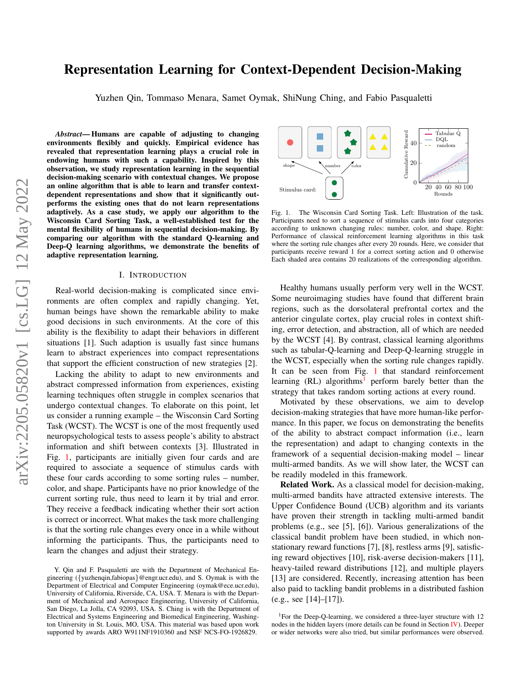# arXiv:2205.05820v1 [cs.LG] 12 May 2022 arXiv:2205.05820v1 [cs.LG] 12 May 2022

# Representation Learning for Context-Dependent Decision-Making

Yuzhen Qin, Tommaso Menara, Samet Oymak, ShiNung Ching, and Fabio Pasqualetti

*Abstract*— Humans are capable of adjusting to changing environments flexibly and quickly. Empirical evidence has revealed that representation learning plays a crucial role in endowing humans with such a capability. Inspired by this observation, we study representation learning in the sequential decision-making scenario with contextual changes. We propose an online algorithm that is able to learn and transfer contextdependent representations and show that it significantly outperforms the existing ones that do not learn representations adaptively. As a case study, we apply our algorithm to the Wisconsin Card Sorting Task, a well-established test for the mental flexibility of humans in sequential decision-making. By comparing our algorithm with the standard Q-learning and Deep-Q learning algorithms, we demonstrate the benefits of adaptive representation learning.

### I. INTRODUCTION

Real-world decision-making is complicated since environments are often complex and rapidly changing. Yet, human beings have shown the remarkable ability to make good decisions in such environments. At the core of this ability is the flexibility to adapt their behaviors in different situations [1]. Such adaption is usually fast since humans learn to abstract experiences into compact representations that support the efficient construction of new strategies [2].

Lacking the ability to adapt to new environments and abstract compressed information from experiences, existing learning techniques often struggle in complex scenarios that undergo contextual changes. To elaborate on this point, let us consider a running example – the Wisconsin Card Sorting Task (WCST). The WCST is one of the most frequently used neuropsychological tests to assess people's ability to abstract information and shift between contexts [3]. Illustrated in Fig. [1,](#page-0-0) participants are initially given four cards and are required to associate a sequence of stimulus cards with these four cards according to some sorting rules – number, color, and shape. Participants have no prior knowledge of the current sorting rule, thus need to learn it by trial and error. They receive a feedback indicating whether their sort action is correct or incorrect. What makes the task more challenging is that the sorting rule changes every once in a while without informing the participants. Thus, the participants need to learn the changes and adjust their strategy.



<span id="page-0-0"></span>Fig. 1. The Wisconsin Card Sorting Task. Left: Illustration of the task. Participants need to sort a sequence of stimulus cards into four categories according to unknown changing rules: number, color, and shape. Right: Performance of classical reinforcement learning algorithms in this task where the sorting rule changes after every 20 rounds. Here, we consider that participants receive reward 1 for a correct sorting action and 0 otherwise Each shaded area contains 20 realizations of the corresponding algorithm.

Healthy humans usually perform very well in the WCST. Some neuroimaging studies have found that different brain regions, such as the dorsolateral prefrontal cortex and the anterior cingulate cortex, play crucial roles in context shifting, error detection, and abstraction, all of which are needed by the WCST [4]. By contrast, classical learning algorithms such as tabular-Q-learning and Deep-Q-learning struggle in the WCST, especially when the sorting rule changes rapidly. It can be seen from Fig. [1](#page-0-0) that standard reinforcement learning  $(RL)$  algorithms<sup>[1](#page-0-1)</sup> perform barely better than the strategy that takes random sorting actions at every round.

Motivated by these observations, we aim to develop decision-making strategies that have more human-like performance. In this paper, we focus on demonstrating the benefits of the ability to abstract compact information (i.e., learn the representation) and adapt to changing contexts in the framework of a sequential decision-making model – linear multi-armed bandits. As we will show later, the WCST can be readily modeled in this framework.

Related Work. As a classical model for decision-making, multi-armed bandits have attracted extensive interests. The Upper Confidence Bound (UCB) algorithm and its variants have proven their strength in tackling multi-armed bandit problems (e.g., see [5], [6]). Various generalizations of the classical bandit problem have been studied, in which nonstationary reward functions [7], [8], restless arms [9], satisficing reward objectives [10], risk-averse decision-makers [11], heavy-tailed reward distributions [12], and multiple players [13] are considered. Recently, increasing attention has been also paid to tackling bandit problems in a distributed fashion (e.g., see [14]–[17]).

<span id="page-0-1"></span><sup>1</sup>For the Deep-O-learning, we considered a three-layer structure with 12 nodes in the hidden layers (more details can be found in Section [IV\)](#page-4-0). Deeper or wider networks were also tried, but similar performances were observed.

Y. Qin and F. Pasqualetti are with the Department of Mechanical Engineering ({yuzhenqin,fabiopas}@engr.ucr.edu), and S. Oymak is with the Department of Electrical and Computer Engineering (oymak@ece.ucr.edu), University of California, Riverside, CA, USA. T. Menara is with the Department of Mechanical and Aerospace Engineering, University of California, San Diego, La Jolla, CA 92093, USA. S. Ching is with the Department of Electrical and Systems Engineering and Biomedical Engineering, Washington University in St. Louis, MO, USA. This material was based upon work supported by awards ARO W911NF1910360 and NSF NCS-FO-1926829.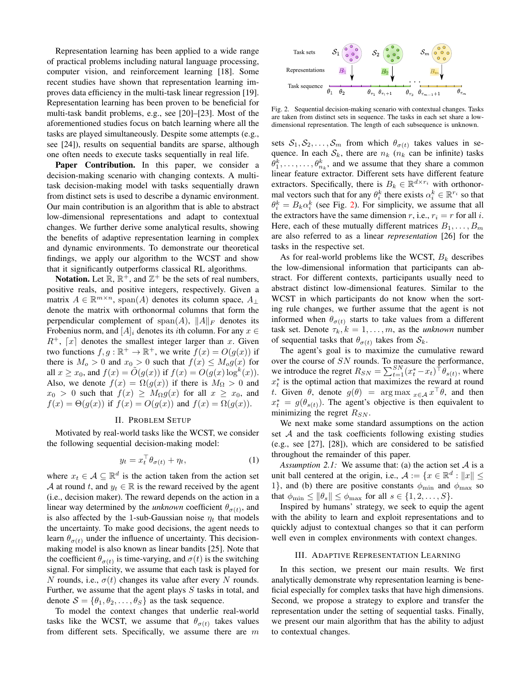Representation learning has been applied to a wide range of practical problems including natural language processing, computer vision, and reinforcement learning [18]. Some recent studies have shown that representation learning improves data efficiency in the multi-task linear regression [19]. Representation learning has been proven to be beneficial for multi-task bandit problems, e.g., see [20]–[23]. Most of the aforementioned studies focus on batch learning where all the tasks are played simultaneously. Despite some attempts (e.g., see [24]), results on sequential bandits are sparse, although one often needs to execute tasks sequentially in real life.

Paper Contribution. In this paper, we consider a decision-making scenario with changing contexts. A multitask decision-making model with tasks sequentially drawn from distinct sets is used to describe a dynamic environment. Our main contribution is an algorithm that is able to abstract low-dimensional representations and adapt to contextual changes. We further derive some analytical results, showing the benefits of adaptive representation learning in complex and dynamic environments. To demonstrate our theoretical findings, we apply our algorithm to the WCST and show that it significantly outperforms classical RL algorithms.

Notation. Let  $\mathbb{R}, \mathbb{R}^+$ , and  $\mathbb{Z}^+$  be the sets of real numbers, positive reals, and positive integers, respectively. Given a matrix  $A \in \mathbb{R}^{m \times n}$ , span $(A)$  denotes its column space,  $A_{\perp}$ denote the matrix with orthonormal columns that form the perpendicular complement of span(A),  $||A||_F$  denotes its Frobenius norm, and  $[A]_i$  denotes its *i*th column. For any  $x \in$  $R^+$ ,  $\lceil x \rceil$  denotes the smallest integer larger than x. Given two functions  $f, g : \mathbb{R}^+ \to \mathbb{R}^+$ , we write  $f(x) = O(g(x))$  if there is  $M_o > 0$  and  $x_0 > 0$  such that  $f(x) \leq M_o g(x)$  for all  $x \ge x_0$ , and  $f(x) = \tilde{O}(g(x))$  if  $f(x) = O(g(x) \log^k(x))$ . Also, we denote  $f(x) = \Omega(g(x))$  if there is  $M_{\Omega} > 0$  and  $x_0 > 0$  such that  $f(x) \geq M_{\Omega}g(x)$  for all  $x \geq x_0$ , and  $f(x) = \Theta(g(x))$  if  $f(x) = O(g(x))$  and  $f(x) = \Omega(g(x))$ .

# II. PROBLEM SETUP

<span id="page-1-1"></span>Motivated by real-world tasks like the WCST, we consider the following sequential decision-making model:

$$
y_t = x_t^\top \theta_{\sigma(t)} + \eta_t,\tag{1}
$$

where  $x_t \in \mathcal{A} \subseteq \mathbb{R}^d$  is the action taken from the action set A at round t, and  $y_t \in \mathbb{R}$  is the reward received by the agent (i.e., decision maker). The reward depends on the action in a linear way determined by the *unknown* coefficient  $\theta_{\sigma(t)}$ , and is also affected by the 1-sub-Gaussian noise  $\eta_t$  that models the uncertainty. To make good decisions, the agent needs to learn  $\theta_{\sigma(t)}$  under the influence of uncertainty. This decisionmaking model is also known as linear bandits [25]. Note that the coefficient  $\theta_{\sigma(t)}$  is time-varying, and  $\sigma(t)$  is the switching signal. For simplicity, we assume that each task is played for N rounds, i.e.,  $\sigma(t)$  changes its value after every N rounds. Further, we assume that the agent plays  $S$  tasks in total, and denote  $S = \{\theta_1, \theta_2, \dots, \theta_S\}$  as the task sequence.

To model the context changes that underlie real-world tasks like the WCST, we assume that  $\theta_{\sigma(t)}$  takes values from different sets. Specifically, we assume there are  $m$ 

<span id="page-1-0"></span>

Fig. 2. Sequential decision-making scenario with contextual changes. Tasks are taken from distinct sets in sequence. The tasks in each set share a lowdimensional representation. The length of each subsequence is unknown.

sets  $S_1, S_2, \ldots, S_m$  from which  $\theta_{\sigma(t)}$  takes values in sequence. In each  $S_k$ , there are  $n_k$  ( $n_k$  can be infinite) tasks  $\theta_1^k, \ldots, \ldots, \theta_{n_k}^k$ , and we assume that they share a common linear feature extractor. Different sets have different feature extractors. Specifically, there is  $B_k \in \mathbb{R}^{d \times r_i}$  with orthonormal vectors such that for any  $\theta_i^k$  there exists  $\alpha_i^k \in \mathbb{R}^{r_i}$  so that  $\theta_i^k = B_k \alpha_i^k$  (see Fig. [2\)](#page-1-0). For simplicity, we assume that all the extractors have the same dimension r, i.e.,  $r_i = r$  for all i. Here, each of these mutually different matrices  $B_1, \ldots, B_m$ are also referred to as a linear *representation* [26] for the tasks in the respective set.

As for real-world problems like the WCST,  $B_k$  describes the low-dimensional information that participants can abstract. For different contexts, participants usually need to abstract distinct low-dimensional features. Similar to the WCST in which participants do not know when the sorting rule changes, we further assume that the agent is not informed when  $\theta_{\sigma(t)}$  starts to take values from a different task set. Denote  $\tau_k$ ,  $k = 1, \ldots, m$ , as the *unknown* number of sequential tasks that  $\theta_{\sigma(t)}$  takes from  $\mathcal{S}_k$ .

The agent's goal is to maximize the cumulative reward over the course of SN rounds. To measure the performance, we introduce the regret  $R_{SN} = \sum_{t=1}^{SN} (x_t^* - x_t)^{\dagger} \theta_{s(t)}$ , where  $x_t^*$  is the optimal action that maximizes the reward at round t. Given  $\theta$ , denote  $g(\theta) = \arg \max_{x \in A} x^{\dagger} \theta$ , and then  $x_t^* = g(\theta_{s(t)})$ . The agent's objective is then equivalent to minimizing the regret  $R_{SN}$ .

We next make some standard assumptions on the action set  $A$  and the task coefficients following existing studies (e.g., see [27], [28]), which are considered to be satisfied throughout the remainder of this paper.

*Assumption 2.1:* We assume that: (a) the action set  $A$  is a unit ball centered at the origin, i.e.,  $A := \{x \in \mathbb{R}^d : ||x|| \leq$ 1}, and (b) there are positive constants  $\phi_{\text{min}}$  and  $\phi_{\text{max}}$  so that  $\phi_{\min} \leq ||\theta_s|| \leq \phi_{\max}$  for all  $s \in \{1, 2, \ldots, S\}.$ 

Inspired by humans' strategy, we seek to equip the agent with the ability to learn and exploit representations and to quickly adjust to contextual changes so that it can perform well even in complex environments with context changes.

### III. ADAPTIVE REPRESENTATION LEARNING

In this section, we present our main results. We first analytically demonstrate why representation learning is beneficial especially for complex tasks that have high dimensions. Second, we propose a strategy to explore and transfer the representation under the setting of sequential tasks. Finally, we present our main algorithm that has the ability to adjust to contextual changes.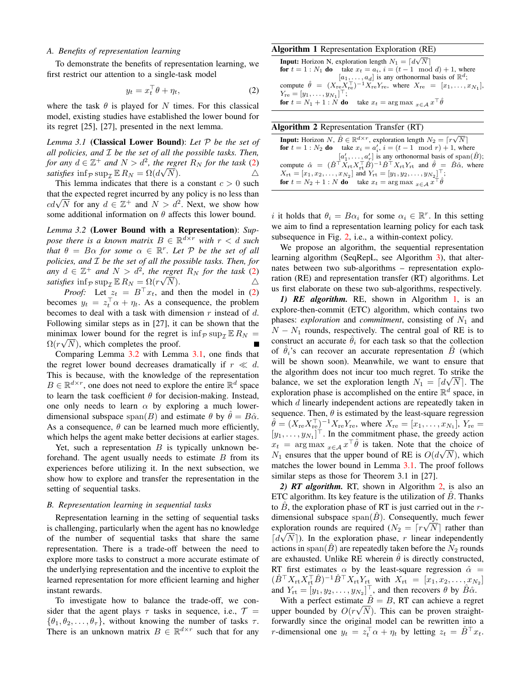### *A. Benefits of representation learning*

To demonstrate the benefits of representation learning, we first restrict our attention to a single-task model

$$
y_t = x_t^\top \theta + \eta_t,\tag{2}
$$

where the task  $\theta$  is played for N times. For this classical model, existing studies have established the lower bound for its regret [25], [27], presented in the next lemma.

<span id="page-2-2"></span>*Lemma 3.1* (Classical Lower Bound): *Let* P *be the set of all policies, and* I *be the set of all the possible tasks. Then, for any*  $d \in \mathbb{Z}^+$  *and*  $N > d^2$ *, the regret*  $R_N$  *for the task* [\(2\)](#page-2-0) *satisfies*  $\inf_{\mathcal{P}} \sup_{\mathcal{I}} \mathbb{E} R_N = \Omega(d\sqrt{N}).$   $\triangle$ 

This lemma indicates that there is a constant  $c > 0$  such that the expected regret incurred by any policy is no less than that the expected regret incurred by any policy is no less than  $cd\sqrt{N}$  for any  $d \in \mathbb{Z}^+$  and  $N > d^2$ . Next, we show how some additional information on  $\theta$  affects this lower bound.

<span id="page-2-1"></span>*Lemma 3.2* (Lower Bound with a Representation): *Suppose there is a known matrix*  $B \in \mathbb{R}^{d \times r}$  *with*  $r < d$  *such that*  $\theta = B\alpha$  *for some*  $\alpha \in \mathbb{R}^r$ *. Let*  $P$  *be the set of all policies, and* I *be the set of all the possible tasks. Then, for*  $a_n y$   $d \in \mathbb{Z}^+$  *and*  $N > d^2$ *, the regret*  $R_N$  *for the task* [\(2\)](#page-2-0) *satisfies*  $\inf_{\mathcal{P}} \sup_{\mathcal{I}} \mathbb{E} R_N = \Omega(r\sqrt{N}).$   $\triangle$ 

*Proof:* Let  $z_t = B^\top x_t$ , and then the model in [\(2\)](#page-2-0) becomes  $y_t = z_t^{\dagger} \alpha + \eta_t$ . As a consequence, the problem becomes to deal with a task with dimension  $r$  instead of  $d$ . Following similar steps as in [27], it can be shown that the minimax lower bound for the regret is  $\inf_{\mathcal{P}} \sup_{\mathcal{I}} \mathbb{E} R_N =$  $\Omega(r\sqrt{N})$ , which completes the proof.

Comparing Lemma [3.2](#page-2-1) with Lemma [3.1,](#page-2-2) one finds that the regret lower bound decreases dramatically if  $r \ll d$ . This is because, with the knowledge of the representation  $B \in \mathbb{R}^{d \times r}$ , one does not need to explore the entire  $\mathbb{R}^d$  space to learn the task coefficient  $\theta$  for decision-making. Instead, one only needs to learn  $\alpha$  by exploring a much lowerdimensional subspace span(B) and estimate  $\theta$  by  $\theta = B\hat{\alpha}$ . As a consequence,  $\theta$  can be learned much more efficiently, which helps the agent make better decisions at earlier stages.

Yet, such a representation  $B$  is typically unknown beforehand. The agent usually needs to estimate  $B$  from its experiences before utilizing it. In the next subsection, we show how to explore and transfer the representation in the setting of sequential tasks.

# *B. Representation learning in sequential tasks*

Representation learning in the setting of sequential tasks is challenging, particularly when the agent has no knowledge of the number of sequential tasks that share the same representation. There is a trade-off between the need to explore more tasks to construct a more accurate estimate of the underlying representation and the incentive to exploit the learned representation for more efficient learning and higher instant rewards.

To investigate how to balance the trade-off, we consider that the agent plays  $\tau$  tasks in sequence, i.e.,  $\mathcal{T} =$  $\{\theta_1, \theta_2, \dots, \theta_{\tau}\}\$ , without knowing the number of tasks  $\tau$ . There is an unknown matrix  $B \in \mathbb{R}^{d \times r}$  such that for any

### Algorithm 1 Representation Exploration (RE)

<span id="page-2-3"></span><span id="page-2-0"></span>**Input:** Horizon N, exploration length  $N_1 = \lfloor d\sqrt{N} \rfloor$ **for**  $t = 1 : N_1$  **do** take  $x_t = a_i$ ,  $i = (t - 1 \mod d) + 1$ , where  $[a_1, \ldots, a_d]$  is any orthonormal basis of  $\mathbb{R}^d$ ; compute  $\hat{\theta} = (X_{\text{re}} \times \overline{X_{\text{re}}})^{-1} X_{\text{re}} Y_{\text{re}}$ , where  $X_{\text{re}} = [x_1, \dots, x_{N_1}],$  $Y_{\text{re}} = [y_1, \ldots, y_{N_1}]^{\top};$ for  $t = N_1 + 1 : N$  do take  $x_t = \arg \max_{x \in A} x^{\top} \hat{\theta}$ 

<span id="page-2-4"></span>

| <b>Algorithm 2</b> Representation Transfer (RT)                                                                                                            |
|------------------------------------------------------------------------------------------------------------------------------------------------------------|
| <b>Input:</b> Horizon N, $\hat{B} \in \mathbb{R}^{d \times r}$ , exploration length $N_2 = \lceil r \sqrt{N} \rceil$                                       |
| <b>for</b> $t = 1 : N_2$ <b>do</b> take $x_i = a'_i$ , $i = (t - 1 \mod r) + 1$ , where                                                                    |
| $[a'_1, \ldots, a'_r]$ is any orthonormal basis of span $(\hat{B})$ ;                                                                                      |
| compute $\hat{\alpha} = (\hat{B}^\top \bar{X}_{rt} X_{rt}^\top \hat{B})^{-1} \hat{B}^\top X_{rt} Y_{rt}$ and $\hat{\theta} = \hat{B} \hat{\alpha}$ , where |
| $X_{\rm rt} = [x_1, x_2, \ldots, x_{N_2}]$ and $Y_{\rm rt} = [y_1, y_2, \ldots, y_{N_2}]^{\top}$ ;                                                         |
| <b>for</b> $t = N_2 + 1$ : N <b>do</b> take $x_t = \arg \max_{x \in A} x^{\top} \hat{\theta}$                                                              |
|                                                                                                                                                            |

i it holds that  $\theta_i = B\alpha_i$  for some  $\alpha_i \in \mathbb{R}^r$ . In this setting we aim to find a representation learning policy for each task subsequence in Fig. [2,](#page-1-0) i.e., a within-context policy.

We propose an algorithm, the sequential representation learning algorithm (SeqRepL, see Algorithm [3\)](#page-3-0), that alternates between two sub-algorithms – representation exploration (RE) and representation transfer (RT) algorithms. Let us first elaborate on these two sub-algorithms, respectively.

*1) RE algorithm.* RE, shown in Algorithm [1,](#page-2-3) is an explore-then-commit (ETC) algorithm, which contains two phases: *exploration* and *commitment*, consisting of  $N_1$  and  $N - N_1$  rounds, respectively. The central goal of RE is to construct an accurate  $\hat{\theta}_i$  for each task so that the collection of  $\hat{\theta}_i$ 's can recover an accurate representation  $\hat{B}$  (which will be shown soon). Meanwhile, we want to ensure that the algorithm does not incur too much regret. To strike the balance, we set the exploration length  $N_1 = \lfloor d\sqrt{N} \rfloor$ . The exploration phase is accomplished on the entire  $\mathbb{R}^d$  space, in which d linearly independent actions are repeatedly taken in sequence. Then,  $\theta$  is estimated by the least-square regression  $\hat{\theta} = (X_{\text{re}} X_{\text{re}}^{\top})^{-1} X_{\text{re}} Y_{\text{re}}$ , where  $X_{\text{re}} = [x_1, \dots, x_{N_1}]$ ,  $Y_{\text{re}} =$  $[y_1, \ldots, y_{N_1}]$ <sup> $\top$ </sup>. In the commitment phase, the greedy action  $x_t = \arg \max_{x \in A} x^\top \hat{\theta}$  is taken. Note that the choice of  $N_1$  ensures that the upper bound of RE is  $O(d\sqrt{N})$ , which matches the lower bound in Lemma [3.1.](#page-2-2) The proof follows similar steps as those for Theorem 3.1 in [27].

*2) RT algorithm.* RT, shown in Algorithm [2,](#page-2-4) is also an ETC algorithm. Its key feature is the utilization of  $\ddot{B}$ . Thanks to  $\overline{B}$ , the exploration phase of RT is just carried out in the rdimensional subspace span $(\hat{B})$ . Consequently, much fewer exploration rounds are required  $(N_2 = \lceil r \sqrt{N} \rceil)$  rather than  $\lceil d\sqrt{N} \rceil$ ). In the exploration phase, r linear independently actions in span( $B$ ) are repeatedly taken before the  $N_2$  rounds are exhausted. Unlike RE wherein  $\theta$  is directly constructed, RT first estimates  $\alpha$  by the least-square regression  $\hat{\alpha} =$  $(\hat{B}^{\top} X_{\text{rt}} X_{\text{rt}}^{\top} \hat{B})^{-1} \hat{B}^{\top} X_{\text{rt}} Y_{\text{rt}}$  with  $X_{\text{rt}} = [x_1, x_2, \dots, x_{N_2}]$ and  $Y_{\rm rt} = [y_1, y_2, \dots, y_{N_2}]^\top$ , and then recovers  $\theta$  by  $\hat{B}\hat{\alpha}$ .

With a perfect estimate  $\hat{B} = B$ , RT can achieve a regret upper bounded by  $O(r\sqrt{N})$ . This can be proven straightforwardly since the original model can be rewritten into a r-dimensional one  $y_t = z_t^\top \alpha + \eta_t$  by letting  $z_t = \hat{B}^\top x_t$ .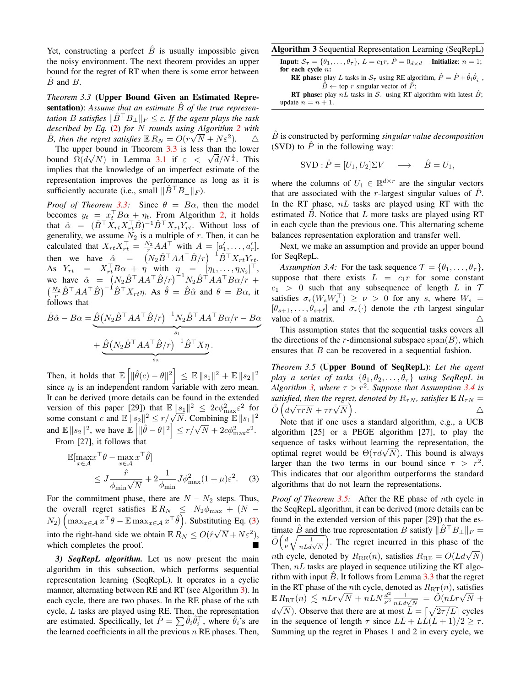Yet, constructing a perfect  $\hat{B}$  is usually impossible given the noisy environment. The next theorem provides an upper bound for the regret of RT when there is some error between  $B$  and  $B$ .

<span id="page-3-1"></span>*Theorem 3.3* (Upper Bound Given an Estimated Representation): Assume that an estimate  $\overline{B}$  of the true represen*tation* B *satisfies*  $\|\hat{B}^\top B_\perp\|_F \leq \varepsilon$ . If the agent plays the task *described by Eq.* [\(2\)](#page-2-0) *for* N *rounds using Algorithm [2](#page-2-4) with* √  $\hat{B}$ , then the regret satisfies  $\mathbb{E} R_N = O(r\sqrt{N} + N\varepsilon^2)$ .  $\triangle$ 

The upper bound in Theorem [3.3](#page-3-1) is less than the lower The upper bound in Theorem 3.3 is less than the lower<br>bound  $\Omega(d\sqrt{N})$  in Lemma [3.1](#page-2-2) if  $\varepsilon < \sqrt{d}/N^{\frac{1}{4}}$ . This implies that the knowledge of an imperfect estimate of the representation improves the performance as long as it is sufficiently accurate (i.e., small  $\|\hat{B}^\top B_\perp\|_F$ ).

*Proof of Theorem [3.3:](#page-3-1)* Since  $\theta = B\alpha$ , then the model becomes  $y_t = x_t^T B \alpha + \eta_t$ . From Algorithm [2,](#page-2-4) it holds that  $\hat{\alpha} = (\hat{B}^\top X_{rt} X_{rt}^\top \hat{B})^{-1} \hat{B}^\top X_{rt} Y_{rt}$ . Without loss of generality, we assume  $N_2$  is a multiple of r. Then, it can be calculated that  $X_{rt} X_{rt}^\top = \frac{N_2}{r} A A^\top$  with  $A = [a'_1, \dots, a'_r],$ then we have  $\hat{\alpha} = (N_2 \hat{B}^\top A A^\top \hat{B}/r)^{-1} \hat{B}^\top X_{rt} Y_{rt}$ . As  $Y_{rt} = X_{rt}^{\dagger} B \alpha + \eta$  with  $\eta_{1} = [\eta_{1}, \ldots, \eta_{N_{2}}]^{\dagger}$ , we have  $\hat{\alpha} = (N_2 \hat{B}^\top A A^\top \hat{B}/r)^{-1} N_2 \hat{B}^\top A A^\top B \alpha/r +$  $\left(\frac{N_2}{r}\hat{B}^\top A A^\top \hat{B}\right)^{-1} \hat{B}^\top X_{rt} \eta$ . As  $\hat{\theta} = \hat{B} \hat{\alpha}$  and  $\theta = B\alpha$ , it follows that

$$
\hat{B}\hat{\alpha} - B\alpha = \underbrace{\hat{B}(N_2\hat{B}^\top A A^\top \hat{B}/r)^{-1} N_2 \hat{B}^\top A A^\top B \alpha/r - B\alpha}_{s_1} + \underbrace{\hat{B}(N_2\hat{B}^\top A A^\top \hat{B}/r)^{-1} \hat{B}^\top X \eta}_{s_2}.
$$

Then, it holds that  $\mathbb{E}\left[ \|\hat{\theta}(c) - \theta\|^2 \right] \leq \mathbb{E}\,\|s_1\|^2 + \mathbb{E}\,\|s_2\|^2$ since  $\eta_t$  is an independent random variable with zero mean. It can be derived (more details can be found in the extended version of this paper [29]) that  $\mathbb{E} \|s_1\|^2 \leq 2c\phi_{\max}^2 \varepsilon^2$  for version or this paper [29]) that  $\mathbb{E} ||s_1||^2 \leq 2c\varphi_{\text{max}}^2 \varepsilon^2$  for<br>some constant c and  $\mathbb{E} ||s_2||^2 \leq r/\sqrt{N}$ . Combining  $\mathbb{E} ||s_1||^2$ some constant c and  $\mathbb{E} \|\mathcal{S}_2\| \leq r/\sqrt{N}$ . Combining  $\mathbb{E} \|\mathcal{S}_1\|$ <br>and  $\mathbb{E} \|s_2\|^2$ , we have  $\mathbb{E} \left[ \|\hat{\theta} - \theta\|^2 \right] \leq r/\sqrt{N} + 2c\phi_{\text{max}}^2 \epsilon^2$ . From [27], it follows that

 $T \hat{a}$ 

$$
\mathbb{E}[\max_{x \in \mathcal{A}} x^{\top} \theta - \max_{x \in \mathcal{A}} x^{\top} \hat{\theta}]
$$
  
 
$$
\leq J \frac{\hat{r}}{\phi_{\min} \sqrt{N}} + 2 \frac{1}{\phi_{\min}} J \phi_{\max}^2 (1 + \mu) \varepsilon^2.
$$
 (3)

For the commitment phase, there are  $N - N_2$  steps. Thus, the overall regret satisfies  $\mathbb{E} R_N \leq N_2 \phi_{\text{max}} + (N N_2$ )  $\left( \max_{x \in A} x^\top \theta - \mathbb{E} \max_{x \in A} x^\top \hat{\theta} \right)$ . Substituting Eq. [\(3\)](#page-3-2) into the right-hand side we obtain  $\mathbb{E} R_N \leq O(\hat{r}\sqrt{N} + N\varepsilon^2)$ , which completes the proof.

*3) SeqRepL algorithm.* Let us now present the main algorithm in this subsection, which performs sequential representation learning (SeqRepL). It operates in a cyclic manner, alternating between RE and RT (see Algorithm [3\)](#page-3-0). In each cycle, there are two phases. In the RE phase of the nth cycle, L tasks are played using RE. Then, the representation are estimated. Specifically, let  $\hat{P} = \sum \hat{\theta}_i \hat{\theta}_i^{\top}$ , where  $\hat{\theta}_i$ 's are the learned coefficients in all the previous  $n$  RE phases. Then,

<span id="page-3-0"></span>

| <b>Algorithm 3</b> Sequential Representation Learning (SeqRepL)                                                                            |  |
|--------------------------------------------------------------------------------------------------------------------------------------------|--|
| <b>Input:</b> $S_{\tau} = \{\theta_1, \ldots, \theta_{\tau}\}\$ , $L = c_1 r$ , $\tilde{P} = 0_{d \times d}$ <b>Initialize</b> : $n = 1$ ; |  |
| for each cycle $n$ :                                                                                                                       |  |
| <b>RE</b> phase: play L tasks in $S_{\tau}$ using RE algorithm, $\hat{P} = \hat{P} + \hat{\theta}_i \hat{\theta}_i^{\top}$ ,               |  |
| $\hat{B} \leftarrow$ top r singular vector of $\hat{P}$ ;                                                                                  |  |

**RT** phase: play  $nL$  tasks in  $S_\tau$  using RT algorithm with latest  $\hat{B}$ ; update  $n = n + 1$ .

Bˆ is constructed by performing *singular value decomposition* (SVD) to  $\ddot{P}$  in the following way:

$$
SVD : \hat{P} = [U_1, U_2] \Sigma V \longrightarrow \hat{B} = U_1,
$$

where the columns of  $U_1 \in \mathbb{R}^{d \times r}$  are the singular vectors that are associated with the r-largest singular values of  $\ddot{P}$ . In the RT phase,  $nL$  tasks are played using RT with the estimated  $\ddot{B}$ . Notice that  $L$  more tasks are played using RT in each cycle than the previous one. This alternating scheme balances representation exploration and transfer well.

Next, we make an assumption and provide an upper bound for SeqRepL.

<span id="page-3-3"></span>*Assumption 3.4:* For the task sequence  $\mathcal{T} = {\theta_1, \dots, \theta_{\tau}}$ , suppose that there exists  $L = c_1r$  for some constant  $c_1 > 0$  such that any subsequence of length L in T satisfies  $\sigma_r(W_s W_s^{\perp}) \geq \nu > 0$  for any s, where  $W_s =$  $[\theta_{s+1}, \ldots, \theta_{s+\ell}]$  and  $\sigma_r(\cdot)$  denote the rth largest singular value of a matrix.  $\triangle$ 

This assumption states that the sequential tasks covers all the directions of the r-dimensional subspace  $\text{span}(B)$ , which ensures that B can be recovered in a sequential fashion.

<span id="page-3-4"></span>*Theorem 3.5* (Upper Bound of SeqRepL): *Let the agent play a series of tasks*  $\{\theta_1, \theta_2, \dots, \theta_{\tau}\}\$  *using SeqRepL in Algorithm* [3,](#page-3-0) where  $\tau > r^2$ . Suppose that Assumption [3.4](#page-3-3) is *satisfied, then the regret, denoted by*  $R_{\tau N}$ *, satisfies*  $\mathbb{E} R_{\tau N} =$ sausjied, then the regret<br> $\tilde{O} \left( d \sqrt{\tau r N} + \tau r \sqrt{N} \right)$ . And the contract of  $\Delta$ 

Note that if one uses a standard algorithm, e.g., a UCB algorithm [25] or a PEGE algorithm [27], to play the sequence of tasks without learning the representation, the sequence or tasks without learning the representation, the optimal regret would be  $\Theta(\tau d\sqrt{N})$ . This bound is always larger than the two terms in our bound since  $\tau > r^2$ . This indicates that our algorithm outperforms the standard algorithms that do not learn the representations.

<span id="page-3-2"></span>*Proof of Theorem [3.5:](#page-3-4)* After the RE phase of nth cycle in the SeqRepL algorithm, it can be derived (more details can be found in the extended version of this paper [29]) that the estimate  $\hat{B}$  and the true representation B satisfy  $\|\hat{B}^\top B_\perp\|_F =$  $\tilde{O}\Big(\frac{d}{\nu}\sqrt{\frac{1}{nLd\sqrt{N}}}$  . The regret incurred in this phase of the  $nL \sqrt{nLd\sqrt{N}}$  ( $\nu \sqrt{nLd\sqrt{N}}$ ) and experimental in the primary  $\Omega$  and  $R_{\text{RE}} = O(Ld\sqrt{N})$ Then,  $nL$  tasks are played in sequence utilizing the RT algorithm with input  $\ddot{B}$ . It follows from Lemma [3.3](#page-3-1) that the regret in the RT phase of the *n*th cycle, denoted as  $R_{RT}(n)$ , satisfies In the K1 phase of the *n*th cycle, do<br>  $\mathbb{E} R_{\text{RT}}(n) \leq nLr\sqrt{N} + nLN\frac{d^2}{\nu^2}$ The K<sub>1</sub> phase of the *n*th cycle, denoted as  $R_{\text{RT}}(n)$ , satisfies<br>  $R_{\text{RT}}(n) \leq nLr\sqrt{N} + nLN\frac{d^2}{\nu^2}\frac{1}{nLd\sqrt{N}} = \frac{\tilde{O}(nLr\sqrt{N} + \tilde{O}(nLr\sqrt{N}))}{\sqrt{N}}$  $d\sqrt{N}$ ). Observe that there are at most  $\overline{L} = \lceil \sqrt{2\tau/L} \rceil$  cycles in the sequence of length  $\tau$  since  $L\bar{L} + L\bar{L}(\bar{L} + 1)/2 \geq \tau$ . Summing up the regret in Phases 1 and 2 in every cycle, we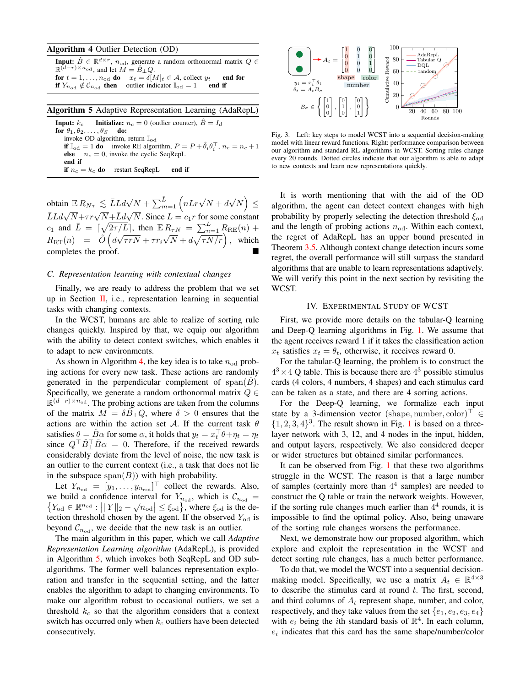# Algorithm 4 Outlier Detection (OD)

<span id="page-4-1"></span>**Input:**  $\hat{B} \in \mathbb{R}^{d \times r}$ ,  $n_{\text{od}}$ , generate a random orthonormal matrix  $Q \in$  $\mathbb{R}^{(d-r)\times n_{\text{od}}}$ , and let  $M = \hat{B}_{\perp}Q$ . for  $t = 1, ..., n_{\text{od}}$  do  $x_t = \delta[M]_t \in A$ , collect  $y_t$  end for<br>if  $Y_{n_{\text{od}}} \notin C_{n_{\text{od}}}$  then outlier indicator  $\mathbb{I}_{\text{od}} = 1$  end if if  $Y_{n_{\text{od}}} \notin \mathcal{C}_{n_{\text{od}}}$  then outlier indicator  $\mathbb{I}_{\text{od}} = 1$ 

### Algorithm 5 Adaptive Representation Learning (AdaRepL)

<span id="page-4-2"></span>**Input:**  $k_c$  **Initialize:**  $n_c = 0$  (outlier counter),  $\hat{B} = I_d$ for  $\theta_1, \theta_2, \ldots, \theta_S$  do: invoke OD algorithm, return  $\mathbb{I}_{\text{od}}$ if  $\mathbb{I}_{\text{od}} = 1$  do invoke RE algorithm,  $P = P + \hat{\theta}_i \theta_i^{\top}$ ,  $n_c = n_c + 1$ **else**  $n_c = 0$ , invoke the cyclic SeqRepL end if if  $n_c = k_c$  do restart SeqRepL end if

obtain  $\mathbb{E} R_{N\tau} \lesssim \bar{L} L d\sqrt{\tau}$  $\overline{N} + \sum_{m=1}^{\overline{L}} \left( n L r \sqrt{N} + d \right)$ √  $\overline{N}$   $\leq$  $\bar{L}Ld\sqrt{N}+\tau r\sqrt{N}+\bar{L}d\sqrt{N}$ N. Since  $L = c_1 r$  for some constant  $c_1$  and  $\bar{L} = \lceil \sqrt{2\tau/L} \rceil$ , then  $\mathbb{E} R_{\tau N} = \sum_{n=1}^{\bar{L}} R_{\text{RE}}(n)$  +  $R_{\rm RT}(n) = \tilde{O} (d$ √  $\tau r N + \tau r_i$ √  $\overline{N} + d\sqrt{\tau N/r}$ , which completes the proof.

### *C. Representation learning with contextual changes*

Finally, we are ready to address the problem that we set up in Section [II,](#page-1-1) i.e., representation learning in sequential tasks with changing contexts.

In the WCST, humans are able to realize of sorting rule changes quickly. Inspired by that, we equip our algorithm with the ability to detect context switches, which enables it to adapt to new environments.

As shown in Algorithm [4,](#page-4-1) the key idea is to take  $n_{\text{od}}$  probing actions for every new task. These actions are randomly generated in the perpendicular complement of span $(B)$ . Specifically, we generate a random orthonormal matrix  $Q \in$  $\mathbb{R}^{(d-r)\times n_{\text{od}}}$ . The probing actions are taken from the columns of the matrix  $M = \delta B_{\perp} Q$ , where  $\delta > 0$  ensures that the actions are within the action set A. If the current task  $\theta$ satisfies  $\theta = \hat{B}\alpha$  for some  $\alpha$ , it holds that  $y_t = x_t^{\top}\theta + \eta_t = \eta_t$ since  $Q^{\top} \hat{B}^{\top}_{\perp} \hat{B} \alpha = 0$ . Therefore, if the received rewards considerably deviate from the level of noise, the new task is an outlier to the current context (i.e., a task that does not lie in the subspace  $\text{span}(B)$ ) with high probability.

Let  $Y_{n_{\text{od}}} = [y_1, \dots, y_{n_{\text{rsd}}}]$  collect the rewards. Also, we build a confidence interval for  $Y_{n_{\text{od}}}$ , which is  $\mathcal{C}_{n_{\text{od}}} = \{Y_{\text{od}} \in \mathbb{R}^{n_{\text{od}}} : |||Y||_2 - \sqrt{n_{\text{od}}}| \leq \xi_{\text{od}}\}$ , where  $\xi_{\text{od}}$  is the de- $Y_{\text{od}} \in \mathbb{R}^{n_{\text{od}}} : |||Y||_2 - \sqrt{n_{\text{od}}}|| \leq \xi_{\text{od}}\},\text{ where } \xi_{\text{od}}\text{ is the de-}$ tection threshold chosen by the agent. If the observed  $Y_{\text{od}}$  is beyond  $\mathcal{C}_{n_{\text{od}}}$ , we decide that the new task is an outlier.

The main algorithm in this paper, which we call *Adaptive Representation Learning algorithm* (AdaRepL), is provided in Algorithm [5,](#page-4-2) which invokes both SeqRepL and OD subalgorithms. The former well balances representation exploration and transfer in the sequential setting, and the latter enables the algorithm to adapt to changing environments. To make our algorithm robust to occasional outliers, we set a threshold  $k_c$  so that the algorithm considers that a context switch has occurred only when  $k<sub>c</sub>$  outliers have been detected consecutively.



<span id="page-4-3"></span>Fig. 3. Left: key steps to model WCST into a sequential decision-making model with linear reward functions. Right: performance comparison between our algorithm and standard RL algorithms in WCST. Sorting rules change every 20 rounds. Dotted circles indicate that our algorithm is able to adapt to new contexts and learn new representations quickly.

It is worth mentioning that with the aid of the OD algorithm, the agent can detect context changes with high probability by properly selecting the detection threshold  $\xi_{\text{od}}$ and the length of probing actions  $n_{\text{od}}$ . Within each context, the regret of AdaRepL has an upper bound presented in Theorem [3.5.](#page-3-4) Although context change detection incurs some regret, the overall performance will still surpass the standard algorithms that are unable to learn representations adaptively. We will verify this point in the next section by revisiting the WCST.

### IV. EXPERIMENTAL STUDY OF WCST

<span id="page-4-0"></span>First, we provide more details on the tabular-Q learning and Deep-Q learning algorithms in Fig. [1.](#page-0-0) We assume that the agent receives reward 1 if it takes the classification action  $x_t$  satisfies  $x_t = \theta_t$ , otherwise, it receives reward 0.

For the tabular-Q learning, the problem is to construct the  $4<sup>3</sup> \times 4$  Q table. This is because there are  $4<sup>3</sup>$  possible stimulus cards (4 colors, 4 numbers, 4 shapes) and each stimulus card can be taken as a state, and there are 4 sorting actions.

For the Deep-Q learning, we formalize each input state by a 3-dimension vector (shape, number, color)<sup> $\vdash \in$ </sup>  $\{1, 2, 3, 4\}^3$  $\{1, 2, 3, 4\}^3$  $\{1, 2, 3, 4\}^3$ . The result shown in Fig. 1 is based on a threelayer network with 3, 12, and 4 nodes in the input, hidden, and output layers, respectively. We also considered deeper or wider structures but obtained similar performances.

It can be observed from Fig. [1](#page-0-0) that these two algorithms struggle in the WCST. The reason is that a large number of samples (certainly more than  $4<sup>4</sup>$  samples) are needed to construct the Q table or train the network weights. However, if the sorting rule changes much earlier than  $4<sup>4</sup>$  rounds, it is impossible to find the optimal policy. Also, being unaware of the sorting rule changes worsens the performance.

Next, we demonstrate how our proposed algorithm, which explore and exploit the representation in the WCST and detect sorting rule changes, has a much better performance.

To do that, we model the WCST into a sequential decisionmaking model. Specifically, we use a matrix  $A_t \in \mathbb{R}^{4 \times 3}$ to describe the stimulus card at round  $t$ . The first, second, and third columns of  $A_t$  represent shape, number, and color, respectively, and they take values from the set  $\{e_1, e_2, e_3, e_4\}$ with  $e_i$  being the *i*th standard basis of  $\mathbb{R}^4$ . In each column,  $e_i$  indicates that this card has the same shape/number/color